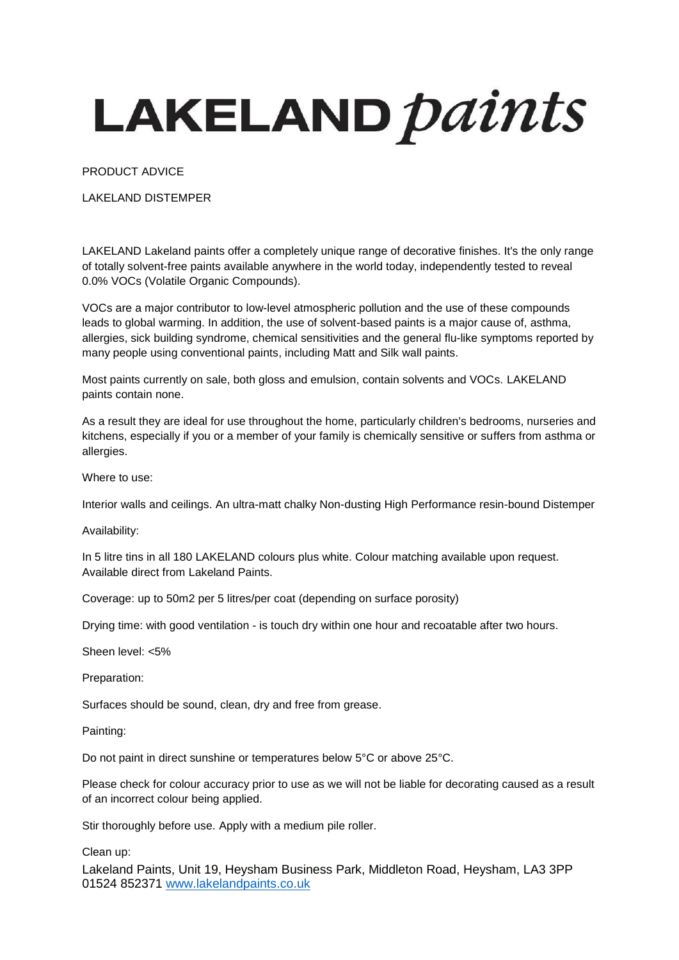## LAKELAND *paints*

PRODUCT ADVICE

LAKELAND DISTEMPER

LAKELAND Lakeland paints offer a completely unique range of decorative finishes. It's the only range of totally solvent-free paints available anywhere in the world today, independently tested to reveal 0.0% VOCs (Volatile Organic Compounds).

VOCs are a major contributor to low-level atmospheric pollution and the use of these compounds leads to global warming. In addition, the use of solvent-based paints is a major cause of, asthma, allergies, sick building syndrome, chemical sensitivities and the general flu-like symptoms reported by many people using conventional paints, including Matt and Silk wall paints.

Most paints currently on sale, both gloss and emulsion, contain solvents and VOCs. LAKELAND paints contain none.

As a result they are ideal for use throughout the home, particularly children's bedrooms, nurseries and kitchens, especially if you or a member of your family is chemically sensitive or suffers from asthma or allergies.

Where to use:

Interior walls and ceilings. An ultra-matt chalky Non-dusting High Performance resin-bound Distemper

Availability:

In 5 litre tins in all 180 LAKELAND colours plus white. Colour matching available upon request. Available direct from Lakeland Paints.

Coverage: up to 50m2 per 5 litres/per coat (depending on surface porosity)

Drying time: with good ventilation - is touch dry within one hour and recoatable after two hours.

Sheen level: <5%

Preparation:

Surfaces should be sound, clean, dry and free from grease.

Painting:

Do not paint in direct sunshine or temperatures below 5°C or above 25°C.

Please check for colour accuracy prior to use as we will not be liable for decorating caused as a result of an incorrect colour being applied.

Stir thoroughly before use. Apply with a medium pile roller.

Clean up:

Lakeland Paints, Unit 19, Heysham Business Park, Middleton Road, Heysham, LA3 3PP 01524 852371 [www.lakelandpaints.co.uk](http://www.lakelandpaints.co.uk/)